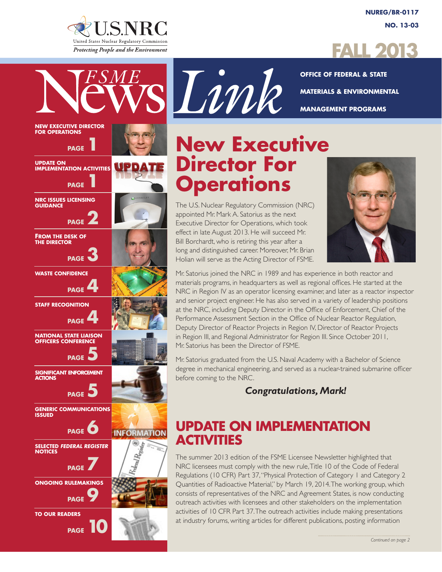

UPDATE

**INFORMATION** 

**NEW EXECUTIVE DIRECTOR FOR OPERATIONS**

**PAGE** 

**UPDATE ON IMPLEMENTATION ACTIVITIES**

**NRC ISSUES LICENSING** 

**FROM THE DESK OF THE DIRECTOR**

**WASTE CONFIDENCE**

**STAFF RECOGNITION**

**NATIONAL STATE LIAISON OFFICERS CONFERENCE**

**SIGNIFICANT ENFORCEMENT** 

**GENERIC COMMUNICATIONS** 

**SELECTED** *FEDERAL REGISTER*

**ONGOING RULEMAKINGS**

**TO OUR READERS**

**ACTIONS**

**ISSUED**

**NOTICES**

**GUIDANCE**

**PAGE** 

**PAGE** 

**PAGE** 

**PAGE** 

**PAGE** 

**PAGE** 

**PAGE** 5

**PAGE**  $\bullet$ 

**PAGE** 

**PAGE**9

**PAGE** 



**OFFICE OF FEDERAL & STATE MATERIALS & ENVIRONMENTAL MANAGEMENT PROGRAMS**

# **New Executive Director For Operations**

sLink

The U.S. Nuclear Regulatory Commission (NRC) appointed Mr. Mark A. Satorius as the next Executive Director for Operations, which took effect in late August 2013. He will succeed Mr. Bill Borchardt, who is retiring this year after a long and distinguished career. Moreover, Mr. Brian Holian will serve as the Acting Director of FSME.



Mr. Satorius joined the NRC in 1989 and has experience in both reactor and materials programs, in headquarters as well as regional offices. He started at the NRC in Region IV as an operator licensing examiner, and later as a reactor inspector and senior project engineer. He has also served in a variety of leadership positions at the NRC, including Deputy Director in the Office of Enforcement, Chief of the Performance Assessment Section in the Office of Nuclear Reactor Regulation, Deputy Director of Reactor Projects in Region IV, Director of Reactor Projects in Region III, and Regional Administrator for Region III. Since October 2011, Mr. Satorius has been the Director of FSME.

Mr. Satorius graduated from the U.S. Naval Academy with a Bachelor of Science degree in mechanical engineering, and served as a nuclear-trained submarine officer before coming to the NRC.

### *Congratulations, Mark!*

## **UPDATE ON IMPLEMENTATION ACTIVITIES**

The summer 2013 edition of the FSME Licensee Newsletter highlighted that NRC licensees must comply with the new rule, Title 10 of the Code of Federal Regulations (10 CFR) Part 37, "Physical Protection of Category 1 and Category 2 Quantities of Radioactive Material," by March 19, 2014. The working group, which consists of representatives of the NRC and Agreement States, is now conducting outreach activities with licensees and other stakeholders on the implementation activities of 10 CFR Part 37. The outreach activities include making presentations at industry forums, writing articles for different publications, posting information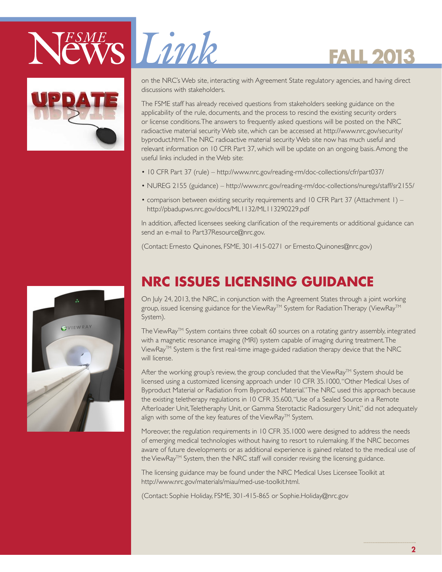# ESME Limk



on the NRC's Web site, interacting with Agreement State regulatory agencies, and having direct discussions with stakeholders.

**FALL 2013**

The FSME staff has already received questions from stakeholders seeking guidance on the applicability of the rule, documents, and the process to rescind the existing security orders or license conditions. The answers to frequently asked questions will be posted on the NRC radioactive material security Web site, which can be accessed at http://www.nrc.gov/security/ byproduct.html. The NRC radioactive material security Web site now has much useful and relevant information on 10 CFR Part 37, which will be update on an ongoing basis. Among the useful links included in the Web site:

- 10 CFR Part 37 (rule) http://www.nrc.gov/reading-rm/doc-collections/cfr/part037/
- NUREG 2155 (guidance) http://www.nrc.gov/reading-rm/doc-collections/nuregs/staff/sr2155/
- comparison between existing security requirements and 10 CFR Part 37 (Attachment 1) http://pbadupws.nrc.gov/docs/ML1132/ML113290229.pdf

In addition, affected licensees seeking clarification of the requirements or additional guidance can send an e-mail to Part37Resource@nrc.gov.

(Contact: Ernesto Quinones, FSME, 301-415-0271 or Ernesto.Quinones@nrc.gov)



# **NRC ISSUES LICENSING GUIDANCE**

On July 24, 2013, the NRC, in conjunction with the Agreement States through a joint working group, issued licensing guidance for the ViewRay™ System for Radiation Therapy (ViewRay™ System).

The ViewRay™ System contains three cobalt 60 sources on a rotating gantry assembly, integrated with a magnetic resonance imaging (MRI) system capable of imaging during treatment. The ViewRay<sup>™</sup> System is the first real-time image-guided radiation therapy device that the NRC will license.

After the working group's review, the group concluded that the ViewRay™ System should be licensed using a customized licensing approach under 10 CFR 35.1000, "Other Medical Uses of Byproduct Material or Radiation from Byproduct Material." The NRC used this approach because the existing teletherapy regulations in 10 CFR 35.600, "Use of a Sealed Source in a Remote Afterloader Unit, Teletheraphy Unit, or Gamma Sterotactic Radiosurgery Unit," did not adequately align with some of the key features of the ViewRay™ System.

Moreover, the regulation requirements in 10 CFR 35.1000 were designed to address the needs of emerging medical technologies without having to resort to rulemaking. If the NRC becomes aware of future developments or as additional experience is gained related to the medical use of the ViewRay<sup>TM</sup> System, then the NRC staff will consider revising the licensing guidance.

The licensing guidance may be found under the NRC Medical Uses Licensee Toolkit at http://www.nrc.gov/materials/miau/med-use-toolkit.html.

(Contact: Sophie Holiday, FSME, 301-415-865 or Sophie.Holiday@nrc.gov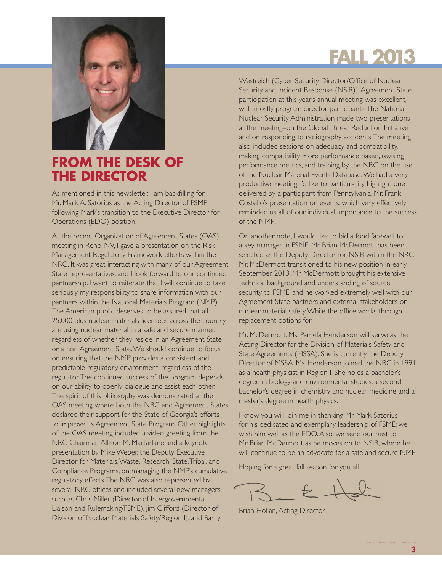

### **FROM THE DESK OF THE DIRECTOR**

As mentioned in this newsletter, I am backfilling for Mr. Mark A. Satorius as the Acting Director of FSME following Mark's transition to the Executive Director for Operations (EDO) position.

At the recent Organization of Agreement States (OAS) meeting in Reno, NV, I gave a presentation on the Risk Management Regulatory Framework efforts within the NRC. It was great interacting with many of our Agreement State representatives, and I look forward to our continued partnership. I want to reiterate that I will continue to take seriously my responsibility to share information with our partners within the National Materials Program (NMP). The American public deserves to be assured that all 25,000 plus nuclear materials licensees across the country are using nuclear material in a safe and secure manner, regardless of whether they reside in an Agreement State or a non Agreement State. We should continue to focus on ensuring that the NMP provides a consistent and predictable regulatory environment, regardless of the regulator. The continued success of the program depends on our ability to openly dialogue and assist each other. The spirit of this philosophy was demonstrated at the OAS meeting where both the NRC and Agreement States declared their support for the State of Georgia's efforts to improve its Agreement State Program. Other highlights of the OAS meeting included a video greeting from the NRC Chairman Allison M. Macfarlane and a keynote presentation by Mike Weber, the Deputy Executive Director for Materials, Waste, Research, State, Tribal, and Compliance Programs, on managing the NMP's cumulative regulatory effects. The NRC was also represented by several NRC offices and included several new managers, such as Chris Miller (Director of Intergovernmental Liaison and Rulemaking/FSME), Jim Clifford (Director of Division of Nuclear Materials Safety/Region I), and Barry

Westreich (Cyber Security Director/Office of Nuclear Security and Incident Response (NSIR)). Agreement State participation at this year's annual meeting was excellent, with mostly program director participants. The National Nuclear Security Administration made two presentations at the meeting–on the Global Threat Reduction Initiative and on responding to radiography accidents. The meeting also included sessions on adequacy and compatibility, making compatibility more performance based, revising performance metrics, and training by the NRC on the use of the Nuclear Material Events Database. We had a very productive meeting. I'd like to particularity highlight one delivered by a participant from Pennsylvania, Mr. Frank Costello's presentation on events, which very effectively reminded us all of our individual importance to the success of the NMP!

On another note, I would like to bid a fond farewell to a key manager in FSME. Mr. Brian McDermott has been selected as the Deputy Director for NSIR within the NRC. Mr. McDermott transitioned to his new position in early September 2013. Mr. McDermott brought his extensive technical background and understanding of source security to FSME, and he worked extremely well with our Agreement State partners and external stakeholders on nuclear material safety. While the office works through replacement options for

Mr. McDermott, Ms. Pamela Henderson will serve as the Acting Director for the Division of Materials Safety and State Agreements (MSSA). She is currently the Deputy Director of MSSA. Ms. Henderson joined the NRC in 1991 as a health physicist in Region I. She holds a bachelor's degree in biology and environmental studies, a second bachelor's degree in chemistry and nuclear medicine and a master's degree in health physics.

I know you will join me in thanking Mr. Mark Satorius for his dedicated and exemplary leadership of FSME; we wish him well as the EDO. Also, we send our best to Mr. Brian McDermott as he moves on to NSIR, where he will continue to be an advocate for a safe and secure NMP.

Hoping for a great fall season for you all….

Brian Holian, Acting Director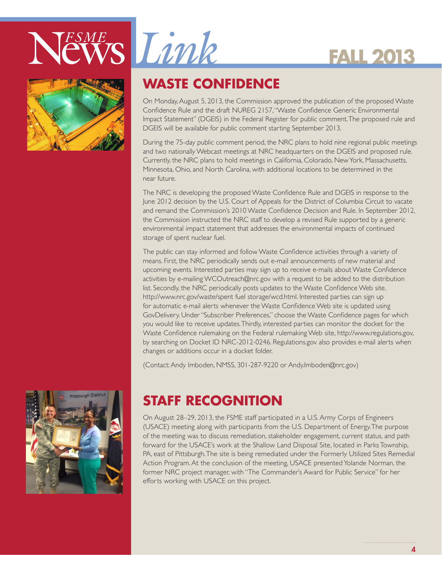





# **WASTE CONFIDENCE**

On Monday, August 5, 2013, the Commission approved the publication of the proposed Waste Confidence Rule and the draft NUREG 2157, "Waste Confidence Generic Environmental Impact Statement" (DGEIS) in the Federal Register for public comment. The proposed rule and DGEIS will be available for public comment starting September 2013.

During the 75-day public comment period, the NRC plans to hold nine regional public meetings and two nationally Webcast meetings at NRC headquarters on the DGEIS and proposed rule. Currently, the NRC plans to hold meetings in California, Colorado, New York, Massachusetts, Minnesota, Ohio, and North Carolina, with additional locations to be determined in the near future.

The NRC is developing the proposed Waste Confidence Rule and DGEIS in response to the June 2012 decision by the U.S. Court of Appeals for the District of Columbia Circuit to vacate and remand the Commission's 2010 Waste Confidence Decision and Rule. In September 2012, the Commission instructed the NRC staff to develop a revised Rule supported by a generic environmental impact statement that addresses the environmental impacts of continued storage of spent nuclear fuel.

The public can stay informed and follow Waste Confidence activities through a variety of means. First, the NRC periodically sends out e-mail announcements of new material and upcoming events. Interested parties may sign up to receive e-mails about Waste Confidence activities by e-mailing WCOutreach@nrc.gov with a request to be added to the distribution list. Secondly, the NRC periodically posts updates to the Waste Confidence Web site, http://www.nrc.gov/waste/spent fuel storage/wcd.html. Interested parties can sign up for automatic e-mail alerts whenever the Waste Confidence Web site is updated using GovDelivery. Under "Subscriber Preferences," choose the Waste Confidence pages for which you would like to receive updates. Thirdly, interested parties can monitor the docket for the Waste Confidence rulemaking on the Federal rulemaking Web site, http://www.regulations.gov, by searching on Docket ID NRC-2012-0246. Regulations.gov also provides e-mail alerts when changes or additions occur in a docket folder.

(Contact: Andy Imboden, NMSS, 301-287-9220 or Andy.Imboden@nrc.gov)



# **STAFF RECOGNITION**

On August 28–29, 2013, the FSME staff participated in a U.S. Army Corps of Engineers (USACE) meeting along with participants from the U.S. Department of Energy. The purpose of the meeting was to discuss remediation, stakeholder engagement, current status, and path forward for the USACE's work at the Shallow Land Disposal Site, located in Parks Township, PA, east of Pittsburgh. The site is being remediated under the Formerly Utilized Sites Remedial Action Program. At the conclusion of the meeting, USACE presented Yolande Norman, the former NRC project manager, with "The Commander's Award for Public Service" for her efforts working with USACE on this project.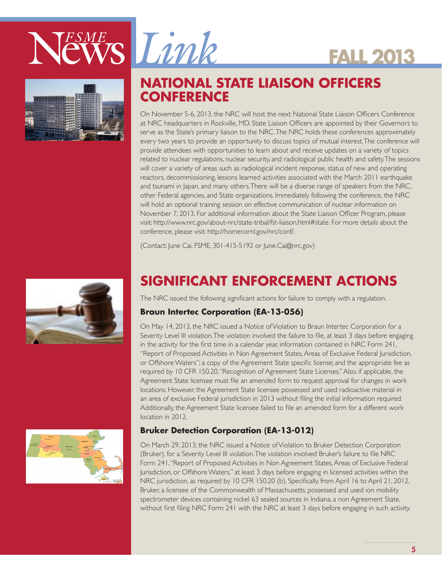



# **NATIONAL STATE LIAISON OFFICERS CONFERENCE**

On November 5-6, 2013, the NRC will host the next National State Liaison Officers Conference at NRC headquarters in Rockville, MD. State Liaison Officers are appointed by their Governors to serve as the State's primary liaison to the NRC. The NRC holds these conferences approximately every two years to provide an opportunity to discuss topics of mutual interest. The conference will provide attendees with opportunities to learn about and receive updates on a variety of topics related to nuclear regulations, nuclear security, and radiological public health and safety. The sessions will cover a variety of areas such as radiological incident response, status of new and operating reactors, decommissioning, lessons learned activities associated with the March 2011 earthquake and tsunami in Japan, and many others. There will be a diverse range of speakers from the NRC, other Federal agencies, and State organizations. Immediately following the conference, the NRC will hold an optional training session on effective communication of nuclear information on November 7, 2013. For additional information about the State Liaison Officer Program, please visit: http://www.nrc.gov/about-nrc/state-tribal/fst-liaison.html#state. For more details about the conference, please visit: http://homer.ornl.gov/nrc/conf/.

**FALL 2013**

(Contact: June Cai, FSME, 301-415-5192 or June.Cai@nrc.gov)



# **SIGNIFICANT ENFORCEMENT ACTIONS**

The NRC issued the following significant actions for failure to comply with a regulation.

#### **Braun Intertec Corporation (EA-13-056)**

On May 14, 2013, the NRC issued a Notice of Violation to Braun Intertec Corporation for a Severity Level III violation. The violation involved the failure to file, at least 3 days before engaging in the activity for the first time in a calendar year, information contained in NRC Form 241, "Report of Proposed Activities in Non Agreement States, Areas of Exclusive Federal Jurisdiction, or Offshore Waters"; a copy of the Agreement State specific license; and the appropriate fee as required by 10 CFR 150.20, "Recognition of Agreement State Licenses." Also, if applicable, the Agreement State licensee must file an amended form to request approval for changes in work locations. However, the Agreement State licensee possessed and used radioactive material in an area of exclusive Federal jurisdiction in 2013 without filing the initial information required. Additionally, the Agreement State licensee failed to file an amended form for a different work location in 2012.

#### **Bruker Detection Corporation (EA-13-012)**

On March 29, 2013, the NRC issued a Notice of Violation to Bruker Detection Corporation (Bruker), for a Severity Level III violation. The violation involved Bruker's failure to file NRC Form 241, "Report of Proposed Activities in Non Agreement States, Areas of Exclusive Federal Jurisdiction, or Offshore Waters," at least 3 days before engaging in licensed activities within the NRC jurisdiction, as required by 10 CFR 150.20 (b). Specifically, from April 16 to April 21, 2012, Bruker, a licensee of the Commonwealth of Massachusetts, possessed and used ion mobility spectrometer devices containing nickel 63 sealed sources in Indiana, a non Agreement State, without first filing NRC Form 241 with the NRC at least 3 days before engaging in such activity.

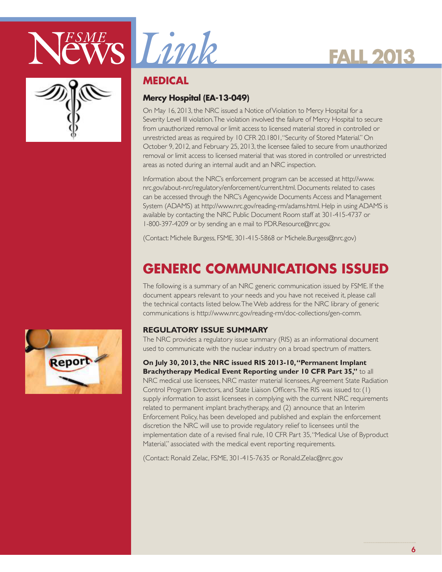





### **MEDICAL**

### **Mercy Hospital (EA-13-049)**

On May 16, 2013, the NRC issued a Notice of Violation to Mercy Hospital for a Severity Level III violation. The violation involved the failure of Mercy Hospital to secure from unauthorized removal or limit access to licensed material stored in controlled or unrestricted areas as required by 10 CFR 20.1801, "Security of Stored Material." On October 9, 2012, and February 25, 2013, the licensee failed to secure from unauthorized removal or limit access to licensed material that was stored in controlled or unrestricted areas as noted during an internal audit and an NRC inspection.

Information about the NRC's enforcement program can be accessed at http://www. nrc.gov/about-nrc/regulatory/enforcement/current.html. Documents related to cases can be accessed through the NRC's Agencywide Documents Access and Management System (ADAMS) at http://www.nrc.gov/reading-rm/adams.html. Help in using ADAMS is available by contacting the NRC Public Document Room staff at 301-415-4737 or 1-800-397-4209 or by sending an e mail to PDR.Resource@nrc.gov.

(Contact: Michele Burgess, FSME, 301-415-5868 or Michele.Burgess@nrc.gov)

# **GENERIC COMMUNICATIONS ISSUED**

The following is a summary of an NRC generic communication issued by FSME. If the document appears relevant to your needs and you have not received it, please call the technical contacts listed below. The Web address for the NRC library of generic communications is http://www.nrc.gov/reading-rm/doc-collections/gen-comm.

#### **REGULATORY ISSUE SUMMARY**

The NRC provides a regulatory issue summary (RIS) as an informational document used to communicate with the nuclear industry on a broad spectrum of matters.

**On July 30, 2013, the NRC issued RIS 2013-10, "Permanent Implant** 

**Brachytherapy Medical Event Reporting under 10 CFR Part 35,"** to all NRC medical use licensees, NRC master material licensees, Agreement State Radiation Control Program Directors, and State Liaison Officers. The RIS was issued to: (1) supply information to assist licensees in complying with the current NRC requirements related to permanent implant brachytherapy, and (2) announce that an Interim Enforcement Policy, has been developed and published and explain the enforcement discretion the NRC will use to provide regulatory relief to licensees until the implementation date of a revised final rule, 10 CFR Part 35, "Medical Use of Byproduct Material," associated with the medical event reporting requirements.

(Contact: Ronald Zelac, FSME, 301-415-7635 or Ronald.Zelac@nrc.gov

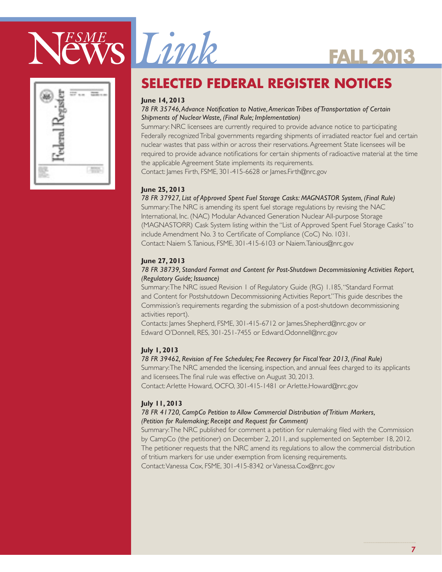

# **SELECTED FEDERAL REGISTER NOTICES**

#### **June 14, 2013**

#### *78 FR 35746, Advance Notification to Native, American Tribes of Transportation of Certain Shipments of Nuclear Waste, (Final Rule; Implementation)*

Summary: NRC licensees are currently required to provide advance notice to participating Federally recognized Tribal governments regarding shipments of irradiated reactor fuel and certain nuclear wastes that pass within or across their reservations. Agreement State licensees will be required to provide advance notifications for certain shipments of radioactive material at the time the applicable Agreement State implements its requirements.

**FALL 2013**

Contact: James Firth, FSME, 301-415-6628 or James.Firth@nrc.gov

#### **June 25, 2013**

*78 FR 37927, List of Approved Spent Fuel Storage Casks: MAGNASTOR System, (Final Rule)*

Summary: The NRC is amending its spent fuel storage regulations by revising the NAC International, Inc. (NAC) Modular Advanced Generation Nuclear All-purpose Storage (MAGNASTORR) Cask System listing within the ''List of Approved Spent Fuel Storage Casks'' to include Amendment No. 3 to Certificate of Compliance (CoC) No. 1031. Contact: Naiem S. Tanious, FSME, 301-415-6103 or Naiem.Tanious@nrc.gov

#### **June 27, 2013**

#### *78 FR 38739, Standard Format and Content for Post-Shutdown Decommissioning Activities Report, (Regulatory Guide; Issuance)*

Summary: The NRC issued Revision 1 of Regulatory Guide (RG) 1.185, ''Standard Format and Content for Postshutdown Decommissioning Activities Report.'' This guide describes the Commission's requirements regarding the submission of a post-shutdown decommissioning activities report).

Contacts: James Shepherd, FSME, 301-415-6712 or James.Shepherd@nrc.gov or Edward O'Donnell, RES, 301-251-7455 or Edward.Odonnell@nrc.gov

#### **July 1, 2013**

#### *78 FR 39462, Revision of Fee Schedules; Fee Recovery for Fiscal Year 2013, (Final Rule)*

Summary: The NRC amended the licensing, inspection, and annual fees charged to its applicants and licensees. The final rule was effective on August 30, 2013.

Contact: Arlette Howard, OCFO, 301-415-1481 or Arlette.Howard@nrc.gov

#### **July 11, 2013**

#### *78 FR 41720, CampCo Petition to Allow Commercial Distribution of Tritium Markers, (Petition for Rulemaking; Receipt and Request for Comment)*

Summary: The NRC published for comment a petition for rulemaking filed with the Commission by CampCo (the petitioner) on December 2, 2011, and supplemented on September 18, 2012. The petitioner requests that the NRC amend its regulations to allow the commercial distribution of tritium markers for use under exemption from licensing requirements. Contact: Vanessa Cox, FSME, 301-415-8342 or Vanessa.Cox@nrc.gov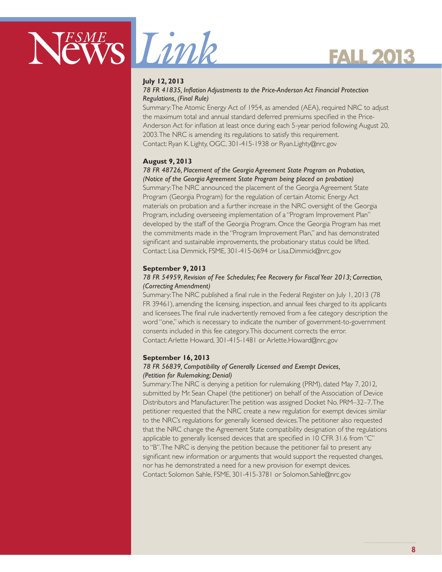



#### **July 12, 2013**

#### *78 FR 41835, Inflation Adjustments to the Price-Anderson Act Financial Protection Regulations, (Final Rule)*

Summary: The Atomic Energy Act of 1954, as amended (AEA), required NRC to adjust the maximum total and annual standard deferred premiums specified in the Price-Anderson Act for inflation at least once during each 5-year period following August 20, 2003. The NRC is amending its regulations to satisfy this requirement. Contact: Ryan K. Lighty, OGC, 301-415-1938 or Ryan.Lighty@nrc.gov

#### **August 9, 2013**

#### *78 FR 48726, Placement of the Georgia Agreement State Program on Probation, (Notice of the Georgia Agreement State Program being placed on probation)*

Summary: The NRC announced the placement of the Georgia Agreement State Program (Georgia Program) for the regulation of certain Atomic Energy Act materials on probation and a further increase in the NRC oversight of the Georgia Program, including overseeing implementation of a ''Program Improvement Plan'' developed by the staff of the Georgia Program. Once the Georgia Program has met the commitments made in the ''Program Improvement Plan,'' and has demonstrated significant and sustainable improvements, the probationary status could be lifted. Contact: Lisa Dimmick, FSME, 301-415-0694 or Lisa.Dimmick@nrc.gov

#### **September 9, 2013**

#### *78 FR 54959, Revision of Fee Schedules; Fee Recovery for Fiscal Year 2013; Correction, (Correcting Amendment)*

Summary: The NRC published a final rule in the Federal Register on July 1, 2013 (78 FR 39461), amending the licensing, inspection, and annual fees charged to its applicants and licensees. The final rule inadvertently removed from a fee category description the word ''one,'' which is necessary to indicate the number of government-to-government consents included in this fee category. This document corrects the error. Contact: Arlette Howard, 301-415-1481 or Arlette.Howard@nrc.gov

#### **September 16, 2013**

#### *78 FR 56839, Compatibility of Generally Licensed and Exempt Devices, (Petition for Rulemaking; Denial)*

Summary: The NRC is denying a petition for rulemaking (PRM), dated May 7, 2012, submitted by Mr. Sean Chapel (the petitioner) on behalf of the Association of Device Distributors and Manufacturer. The petition was assigned Docket No. PRM–32–7. The petitioner requested that the NRC create a new regulation for exempt devices similar to the NRC's regulations for generally licensed devices. The petitioner also requested that the NRC change the Agreement State compatibility designation of the regulations applicable to generally licensed devices that are specified in 10 CFR 31.6 from ''C'' to ''B''. The NRC is denying the petition because the petitioner fail to present any significant new information or arguments that would support the requested changes, nor has he demonstrated a need for a new provision for exempt devices. Contact: Solomon Sahle, FSME, 301-415-3781 or Solomon.Sahle@nrc.gov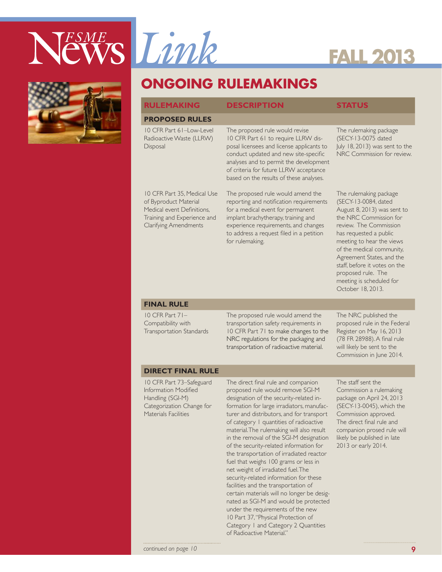



## **ONGOING RULEMAKINGS**

#### **RULEMAKING DESCRIPTION STATUS**

#### **PROPOSED RULES**

10 CFR Part 61–Low-Level Radioactive Waste (LLRW) **Disposal** 

10 CFR Part 35, Medical Use of Byproduct Material Medical event Definitions, Training and Experience and Clarifying Amendments

The proposed rule would revise 10 CFR Part 61 to require LLRW disposal licensees and license applicants to conduct updated and new site-specific analyses and to permit the development of criteria for future LLRW acceptance based on the results of these analyses.

The proposed rule would amend the reporting and notification requirements for a medical event for permanent implant brachytherapy, training and experience requirements, and changes to address a request filed in a petition for rulemaking.

The rulemaking package (SECY-13-0075 dated July 18, 2013) was sent to the NRC Commission for review.

The rulemaking package (SECY-13-0084, dated August 8, 2013) was sent to the NRC Commission for review. The Commission has requested a public meeting to hear the views of the medical community, Agreement States, and the staff, before it votes on the proposed rule. The meeting is scheduled for October 18, 2013.

#### **FINAL RULE**

10 CFR Part 71– Compatibility with Transportation Standards The proposed rule would amend the transportation safety requirements in 10 CFR Part 71 to make changes to the NRC regulations for the packaging and transportation of radioactive material.

The NRC published the proposed rule in the Federal Register on May 16, 2013 (78 FR 28988). A final rule will likely be sent to the Commission in June 2014.

#### **DIRECT FINAL RULE**

10 CFR Part 73–Safeguard Information Modified Handling (SGI-M) Categorization Change for Materials Facilities

The direct final rule and companion proposed rule would remove SGI-M designation of the security-related information for large irradiators, manufacturer and distributors, and for transport of category 1 quantities of radioactive material. The rulemaking will also result in the removal of the SGI-M designation of the security-related information for the transportation of irradiated reactor fuel that weighs 100 grams or less in net weight of irradiated fuel. The security-related information for these facilities and the transportation of certain materials will no longer be designated as SGI-M and would be protected under the requirements of the new 10 Part 37, "Physical Protection of Category 1 and Category 2 Quantities of Radioactive Material."

The staff sent the Commission a rulemaking package on April 24, 2013 (SECY-13-0045), which the Commission approved. The direct final rule and companion prosed rule will likely be published in late 2013 or early 2014.

*continued on page 10* 99